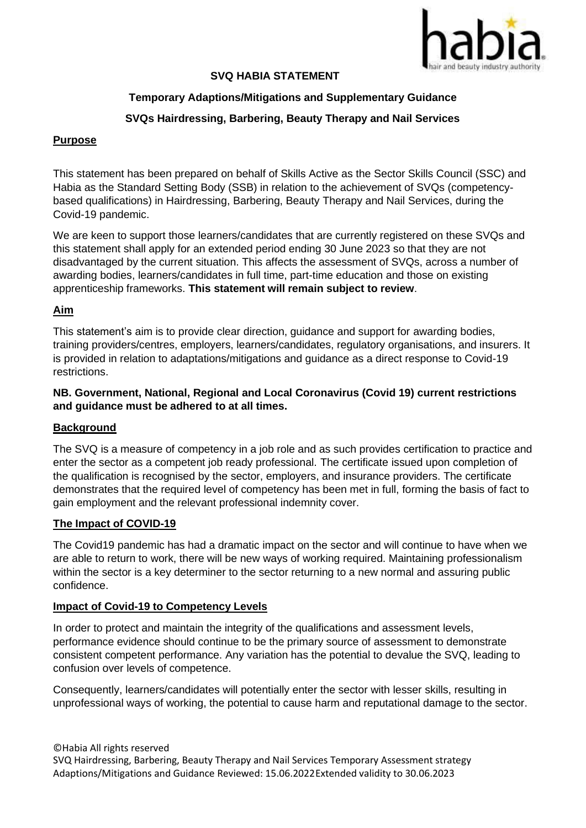

## **SVQ HABIA STATEMENT**

# **Temporary Adaptions/Mitigations and Supplementary Guidance**

# **SVQs Hairdressing, Barbering, Beauty Therapy and Nail Services**

## **Purpose**

This statement has been prepared on behalf of Skills Active as the Sector Skills Council (SSC) and Habia as the Standard Setting Body (SSB) in relation to the achievement of SVQs (competencybased qualifications) in Hairdressing, Barbering, Beauty Therapy and Nail Services, during the Covid-19 pandemic.

We are keen to support those learners/candidates that are currently registered on these SVQs and this statement shall apply for an extended period ending 30 June 2023 so that they are not disadvantaged by the current situation. This affects the assessment of SVQs, across a number of awarding bodies, learners/candidates in full time, part-time education and those on existing apprenticeship frameworks. **This statement will remain subject to review**.

## **Aim**

This statement's aim is to provide clear direction, guidance and support for awarding bodies, training providers/centres, employers, learners/candidates, regulatory organisations, and insurers. It is provided in relation to adaptations/mitigations and guidance as a direct response to Covid-19 restrictions.

## **NB. Government, National, Regional and Local Coronavirus (Covid 19) current restrictions and guidance must be adhered to at all times.**

### **Background**

The SVQ is a measure of competency in a job role and as such provides certification to practice and enter the sector as a competent job ready professional. The certificate issued upon completion of the qualification is recognised by the sector, employers, and insurance providers. The certificate demonstrates that the required level of competency has been met in full, forming the basis of fact to gain employment and the relevant professional indemnity cover.

### **The Impact of COVID-19**

The Covid19 pandemic has had a dramatic impact on the sector and will continue to have when we are able to return to work, there will be new ways of working required. Maintaining professionalism within the sector is a key determiner to the sector returning to a new normal and assuring public confidence.

### **Impact of Covid-19 to Competency Levels**

In order to protect and maintain the integrity of the qualifications and assessment levels, performance evidence should continue to be the primary source of assessment to demonstrate consistent competent performance. Any variation has the potential to devalue the SVQ, leading to confusion over levels of competence.

Consequently, learners/candidates will potentially enter the sector with lesser skills, resulting in unprofessional ways of working, the potential to cause harm and reputational damage to the sector.

©Habia All rights reserved SVQ Hairdressing, Barbering, Beauty Therapy and Nail Services Temporary Assessment strategy Adaptions/Mitigations and Guidance Reviewed: 15.06.2022 Extended validity to 30.06.2023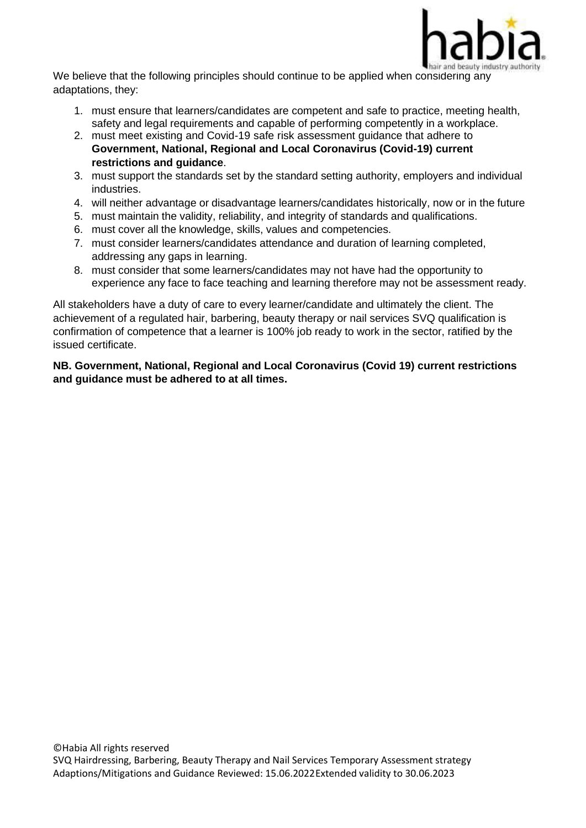

We believe that the following principles should continue to be applied when considering any adaptations, they:

- 1. must ensure that learners/candidates are competent and safe to practice, meeting health, safety and legal requirements and capable of performing competently in a workplace.
- 2. must meet existing and Covid-19 safe risk assessment guidance that adhere to **Government, National, Regional and Local Coronavirus (Covid-19) current restrictions and guidance**.
- 3. must support the standards set by the standard setting authority, employers and individual industries.
- 4. will neither advantage or disadvantage learners/candidates historically, now or in the future
- 5. must maintain the validity, reliability, and integrity of standards and qualifications.
- 6. must cover all the knowledge, skills, values and competencies.
- 7. must consider learners/candidates attendance and duration of learning completed, addressing any gaps in learning.
- 8. must consider that some learners/candidates may not have had the opportunity to experience any face to face teaching and learning therefore may not be assessment ready.

All stakeholders have a duty of care to every learner/candidate and ultimately the client. The achievement of a regulated hair, barbering, beauty therapy or nail services SVQ qualification is confirmation of competence that a learner is 100% job ready to work in the sector, ratified by the issued certificate.

**NB. Government, National, Regional and Local Coronavirus (Covid 19) current restrictions and guidance must be adhered to at all times.**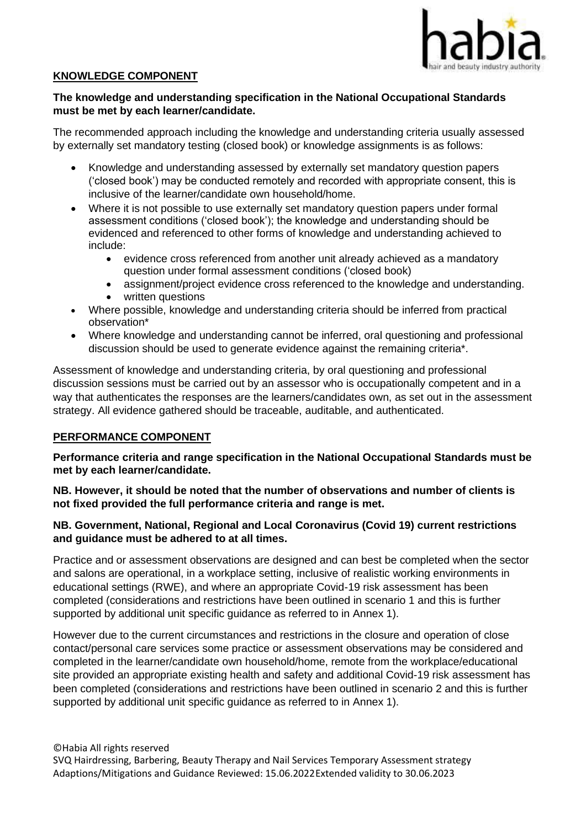

## **KNOWLEDGE COMPONENT**

## **The knowledge and understanding specification in the National Occupational Standards must be met by each learner/candidate.**

The recommended approach including the knowledge and understanding criteria usually assessed by externally set mandatory testing (closed book) or knowledge assignments is as follows:

- Knowledge and understanding assessed by externally set mandatory question papers ('closed book') may be conducted remotely and recorded with appropriate consent, this is inclusive of the learner/candidate own household/home.
- Where it is not possible to use externally set mandatory question papers under formal assessment conditions ('closed book'); the knowledge and understanding should be evidenced and referenced to other forms of knowledge and understanding achieved to include:
	- evidence cross referenced from another unit already achieved as a mandatory question under formal assessment conditions ('closed book)
	- assignment/project evidence cross referenced to the knowledge and understanding.
	- written questions
- Where possible, knowledge and understanding criteria should be inferred from practical observation\*
- Where knowledge and understanding cannot be inferred, oral questioning and professional discussion should be used to generate evidence against the remaining criteria\*.

Assessment of knowledge and understanding criteria, by oral questioning and professional discussion sessions must be carried out by an assessor who is occupationally competent and in a way that authenticates the responses are the learners/candidates own, as set out in the assessment strategy. All evidence gathered should be traceable, auditable, and authenticated.

### **PERFORMANCE COMPONENT**

**Performance criteria and range specification in the National Occupational Standards must be met by each learner/candidate.**

**NB. However, it should be noted that the number of observations and number of clients is not fixed provided the full performance criteria and range is met.**

## **NB. Government, National, Regional and Local Coronavirus (Covid 19) current restrictions and guidance must be adhered to at all times.**

Practice and or assessment observations are designed and can best be completed when the sector and salons are operational, in a workplace setting, inclusive of realistic working environments in educational settings (RWE), and where an appropriate Covid-19 risk assessment has been completed (considerations and restrictions have been outlined in scenario 1 and this is further supported by additional unit specific guidance as referred to in Annex 1).

However due to the current circumstances and restrictions in the closure and operation of close contact/personal care services some practice or assessment observations may be considered and completed in the learner/candidate own household/home, remote from the workplace/educational site provided an appropriate existing health and safety and additional Covid-19 risk assessment has been completed (considerations and restrictions have been outlined in scenario 2 and this is further supported by additional unit specific quidance as referred to in Annex 1).

©Habia All rights reserved SVQ Hairdressing, Barbering, Beauty Therapy and Nail Services Temporary Assessment strategy Adaptions/Mitigations and Guidance Reviewed: 15.06.2022 Extended validity to 30.06.2023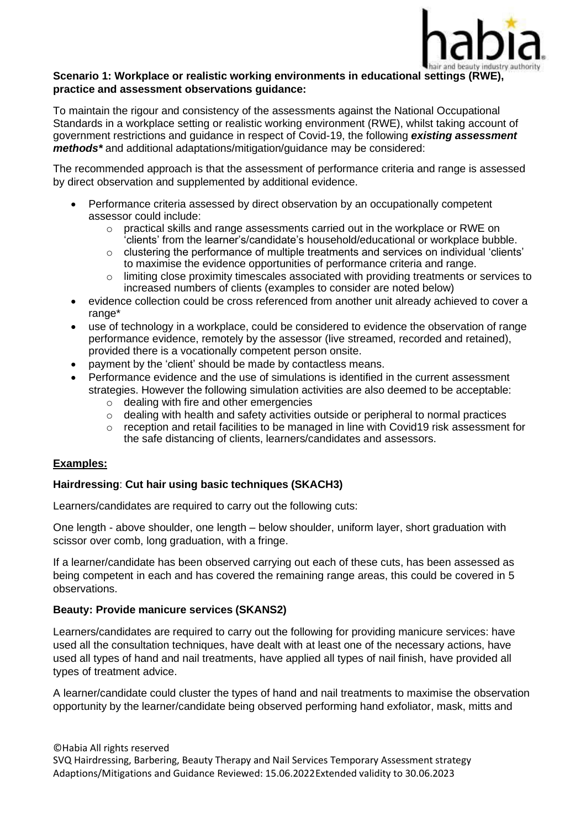

### **Scenario 1: Workplace or realistic working environments in educational settings (RWE), practice and assessment observations guidance:**

To maintain the rigour and consistency of the assessments against the National Occupational Standards in a workplace setting or realistic working environment (RWE), whilst taking account of government restrictions and guidance in respect of Covid-19, the following *existing assessment methods\** and additional adaptations/mitigation/guidance may be considered:

The recommended approach is that the assessment of performance criteria and range is assessed by direct observation and supplemented by additional evidence.

- Performance criteria assessed by direct observation by an occupationally competent assessor could include:
	- $\circ$  practical skills and range assessments carried out in the workplace or RWE on 'clients' from the learner's/candidate's household/educational or workplace bubble.
	- o clustering the performance of multiple treatments and services on individual 'clients' to maximise the evidence opportunities of performance criteria and range.
	- $\circ$  limiting close proximity timescales associated with providing treatments or services to increased numbers of clients (examples to consider are noted below)
- evidence collection could be cross referenced from another unit already achieved to cover a range\*
- use of technology in a workplace, could be considered to evidence the observation of range performance evidence, remotely by the assessor (live streamed, recorded and retained), provided there is a vocationally competent person onsite.
- payment by the 'client' should be made by contactless means.
- Performance evidence and the use of simulations is identified in the current assessment strategies. However the following simulation activities are also deemed to be acceptable:
	- o dealing with fire and other emergencies
	- o dealing with health and safety activities outside or peripheral to normal practices
	- o reception and retail facilities to be managed in line with Covid19 risk assessment for the safe distancing of clients, learners/candidates and assessors.

## **Examples:**

### **Hairdressing**: **Cut hair using basic techniques (SKACH3)**

Learners/candidates are required to carry out the following cuts:

One length - above shoulder, one length – below shoulder, uniform layer, short graduation with scissor over comb, long graduation, with a fringe.

If a learner/candidate has been observed carrying out each of these cuts, has been assessed as being competent in each and has covered the remaining range areas, this could be covered in 5 observations.

### **Beauty: Provide manicure services (SKANS2)**

Learners/candidates are required to carry out the following for providing manicure services: have used all the consultation techniques, have dealt with at least one of the necessary actions, have used all types of hand and nail treatments, have applied all types of nail finish, have provided all types of treatment advice.

A learner/candidate could cluster the types of hand and nail treatments to maximise the observation opportunity by the learner/candidate being observed performing hand exfoliator, mask, mitts and

#### ©Habia All rights reserved

SVQ Hairdressing, Barbering, Beauty Therapy and Nail Services Temporary Assessment strategy Adaptions/Mitigations and Guidance Reviewed: 15.06.2022 Extended validity to 30.06.2023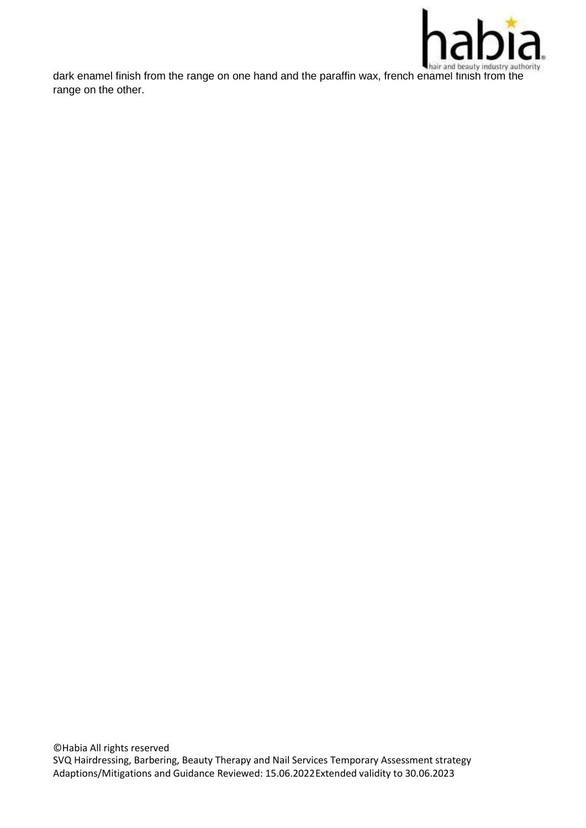

dark enamel finish from the range on one hand and the paraffin wax, french enamel finish from the range on the other.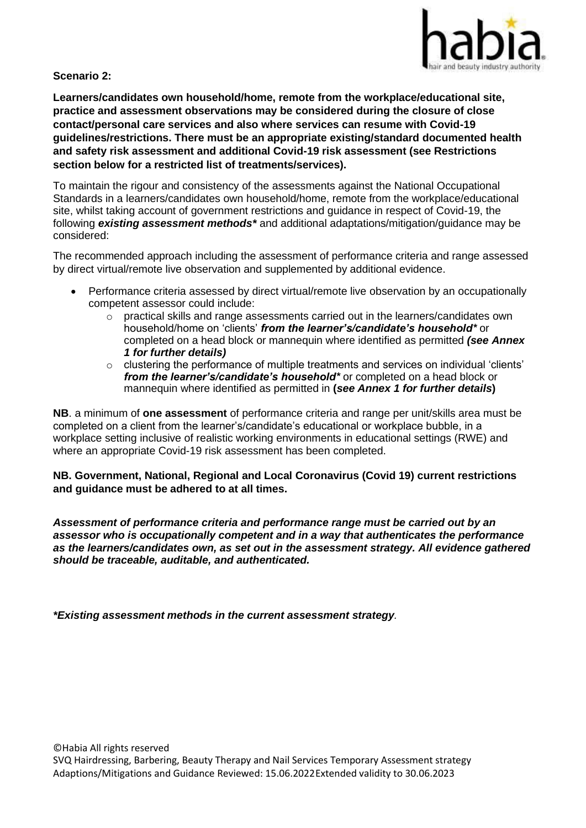

## **Scenario 2:**

**Learners/candidates own household/home, remote from the workplace/educational site, practice and assessment observations may be considered during the closure of close contact/personal care services and also where services can resume with Covid-19 guidelines/restrictions. There must be an appropriate existing/standard documented health and safety risk assessment and additional Covid-19 risk assessment (see Restrictions section below for a restricted list of treatments/services).**

To maintain the rigour and consistency of the assessments against the National Occupational Standards in a learners/candidates own household/home, remote from the workplace/educational site, whilst taking account of government restrictions and guidance in respect of Covid-19, the following *existing assessment methods\** and additional adaptations/mitigation/guidance may be considered:

The recommended approach including the assessment of performance criteria and range assessed by direct virtual/remote live observation and supplemented by additional evidence.

- Performance criteria assessed by direct virtual/remote live observation by an occupationally competent assessor could include:
	- $\circ$  practical skills and range assessments carried out in the learners/candidates own household/home on 'clients' *from the learner's/candidate's household\** or completed on a head block or mannequin where identified as permitted *(see Annex 1 for further details)*
	- o clustering the performance of multiple treatments and services on individual 'clients' *from the learner's/candidate's household\** or completed on a head block or mannequin where identified as permitted in **(***see Annex 1 for further details***)**

**NB**. a minimum of **one assessment** of performance criteria and range per unit/skills area must be completed on a client from the learner's/candidate's educational or workplace bubble, in a workplace setting inclusive of realistic working environments in educational settings (RWE) and where an appropriate Covid-19 risk assessment has been completed.

**NB. Government, National, Regional and Local Coronavirus (Covid 19) current restrictions and guidance must be adhered to at all times.**

*Assessment of performance criteria and performance range must be carried out by an assessor who is occupationally competent and in a way that authenticates the performance as the learners/candidates own, as set out in the assessment strategy. All evidence gathered should be traceable, auditable, and authenticated.*

*\*Existing assessment methods in the current assessment strategy.*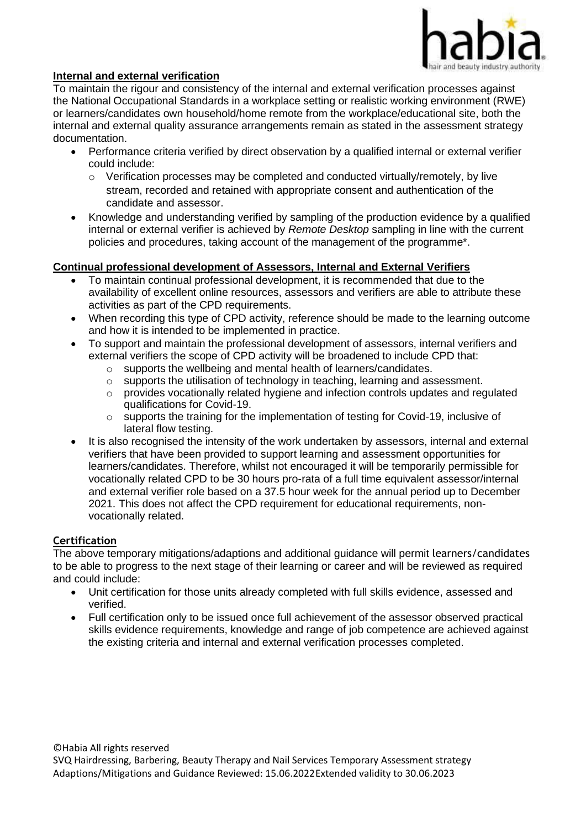

## **Internal and external verification**

To maintain the rigour and consistency of the internal and external verification processes against the National Occupational Standards in a workplace setting or realistic working environment (RWE) or learners/candidates own household/home remote from the workplace/educational site, both the internal and external quality assurance arrangements remain as stated in the assessment strategy documentation.

- Performance criteria verified by direct observation by a qualified internal or external verifier could include:
	- $\circ$  Verification processes may be completed and conducted virtually/remotely, by live stream, recorded and retained with appropriate consent and authentication of the candidate and assessor.
- Knowledge and understanding verified by sampling of the production evidence by a qualified internal or external verifier is achieved by *Remote Desktop* sampling in line with the current policies and procedures, taking account of the management of the programme\*.

## **Continual professional development of Assessors, Internal and External Verifiers**

- To maintain continual professional development, it is recommended that due to the availability of excellent online resources, assessors and verifiers are able to attribute these activities as part of the CPD requirements.
- When recording this type of CPD activity, reference should be made to the learning outcome and how it is intended to be implemented in practice.
- To support and maintain the professional development of assessors, internal verifiers and external verifiers the scope of CPD activity will be broadened to include CPD that:
	- o supports the wellbeing and mental health of learners/candidates.
	- $\circ$  supports the utilisation of technology in teaching, learning and assessment.
	- o provides vocationally related hygiene and infection controls updates and regulated qualifications for Covid-19.
	- $\circ$  supports the training for the implementation of testing for Covid-19, inclusive of lateral flow testing.
- It is also recognised the intensity of the work undertaken by assessors, internal and external verifiers that have been provided to support learning and assessment opportunities for learners/candidates. Therefore, whilst not encouraged it will be temporarily permissible for vocationally related CPD to be 30 hours pro-rata of a full time equivalent assessor/internal and external verifier role based on a 37.5 hour week for the annual period up to December 2021. This does not affect the CPD requirement for educational requirements, nonvocationally related.

### **Certification**

The above temporary mitigations/adaptions and additional guidance will permit learners/candidates to be able to progress to the next stage of their learning or career and will be reviewed as required and could include:

- Unit certification for those units already completed with full skills evidence, assessed and verified.
- Full certification only to be issued once full achievement of the assessor observed practical skills evidence requirements, knowledge and range of job competence are achieved against the existing criteria and internal and external verification processes completed.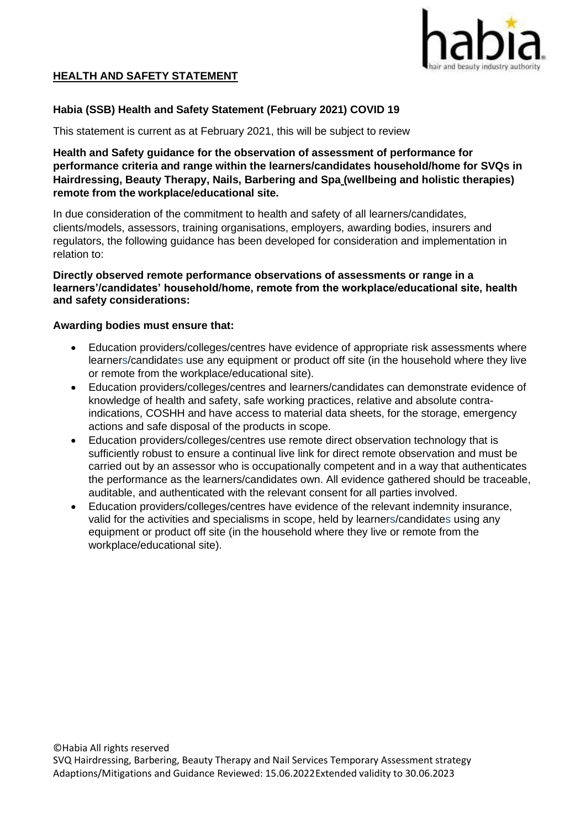

# **HEALTH AND SAFETY STATEMENT**

## **Habia (SSB) Health and Safety Statement (February 2021) COVID 19**

This statement is current as at February 2021, this will be subject to review

## **Health and Safety guidance for the observation of assessment of performance for performance criteria and range within the learners/candidates household/home for SVQs in Hairdressing, Beauty Therapy, Nails, Barbering and Spa (wellbeing and holistic therapies) remote from the workplace/educational site.**

In due consideration of the commitment to health and safety of all learners/candidates, clients/models, assessors, training organisations, employers, awarding bodies, insurers and regulators, the following guidance has been developed for consideration and implementation in relation to:

### **Directly observed remote performance observations of assessments or range in a learners'/candidates' household/home, remote from the workplace/educational site, health and safety considerations:**

#### **Awarding bodies must ensure that:**

- Education providers/colleges/centres have evidence of appropriate risk assessments where learners/candidates use any equipment or product off site (in the household where they live or remote from the workplace/educational site).
- Education providers/colleges/centres and learners/candidates can demonstrate evidence of knowledge of health and safety, safe working practices, relative and absolute contraindications, COSHH and have access to material data sheets, for the storage, emergency actions and safe disposal of the products in scope.
- Education providers/colleges/centres use remote direct observation technology that is sufficiently robust to ensure a continual live link for direct remote observation and must be carried out by an assessor who is occupationally competent and in a way that authenticates the performance as the learners/candidates own. All evidence gathered should be traceable, auditable, and authenticated with the relevant consent for all parties involved.
- Education providers/colleges/centres have evidence of the relevant indemnity insurance, valid for the activities and specialisms in scope, held by learners/candidates using any equipment or product off site (in the household where they live or remote from the workplace/educational site).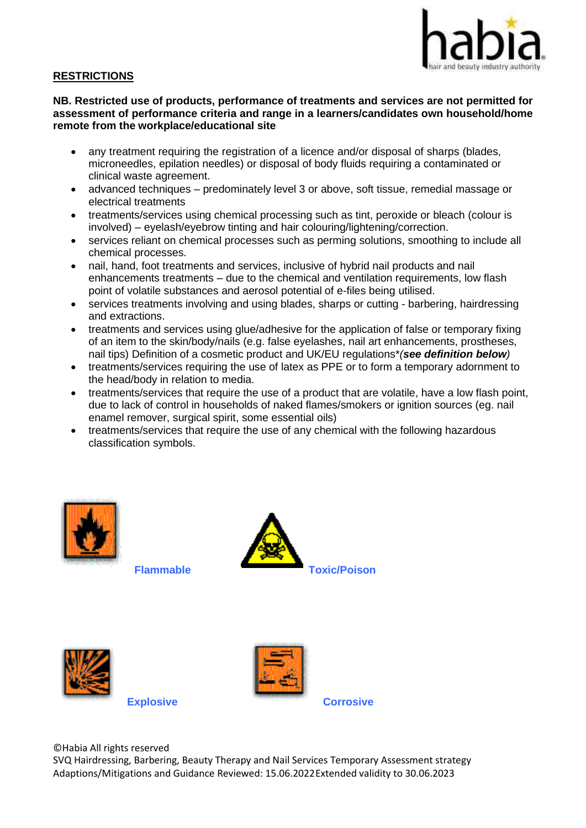

## **RESTRICTIONS**

### **NB. Restricted use of products, performance of treatments and services are not permitted for assessment of performance criteria and range in a learners/candidates own household/home remote from the workplace/educational site**

- any treatment requiring the registration of a licence and/or disposal of sharps (blades, microneedles, epilation needles) or disposal of body fluids requiring a contaminated or clinical waste agreement.
- advanced techniques predominately level 3 or above, soft tissue, remedial massage or electrical treatments
- treatments/services using chemical processing such as tint, peroxide or bleach (colour is involved) – eyelash/eyebrow tinting and hair colouring/lightening/correction.
- services reliant on chemical processes such as perming solutions, smoothing to include all chemical processes.
- nail, hand, foot treatments and services, inclusive of hybrid nail products and nail enhancements treatments – due to the chemical and ventilation requirements, low flash point of volatile substances and aerosol potential of e-files being utilised.
- services treatments involving and using blades, sharps or cutting barbering, hairdressing and extractions.
- treatments and services using glue/adhesive for the application of false or temporary fixing of an item to the skin/body/nails (e.g. false eyelashes, nail art enhancements, prostheses, nail tips) Definition of a cosmetic product and UK/EU regulations\**(see definition below)*
- treatments/services requiring the use of latex as PPE or to form a temporary adornment to the head/body in relation to media.
- treatments/services that require the use of a product that are volatile, have a low flash point, due to lack of control in households of naked flames/smokers or ignition sources (eg. nail enamel remover, surgical spirit, some essential oils)
- treatments/services that require the use of any chemical with the following hazardous classification symbols.











©Habia All rights reserved

SVQ Hairdressing, Barbering, Beauty Therapy and Nail Services Temporary Assessment strategy Adaptions/Mitigations and Guidance Reviewed: 15.06.2022 Extended validity to 30.06.2023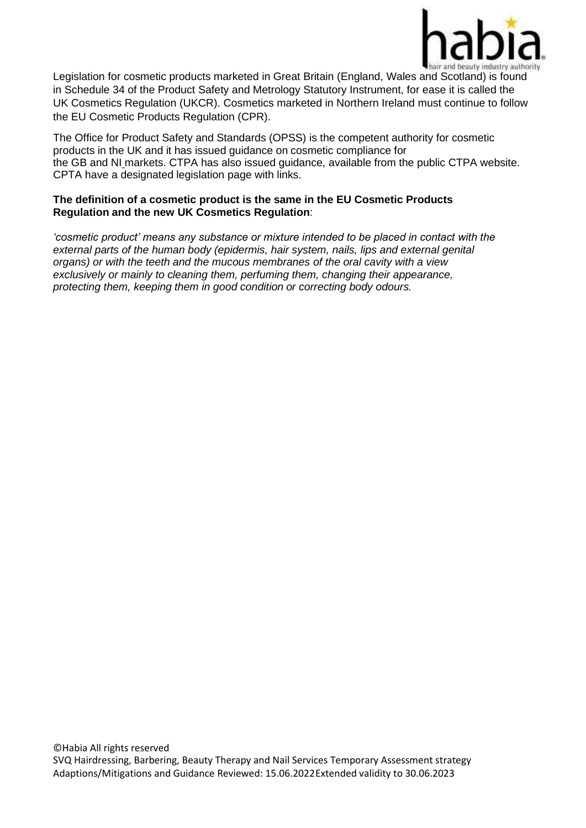

Legislation for cosmetic products marketed in Great Britain (England, Wales and Scotland) is found in Schedule 34 of the Product Safety and Metrology Statutory Instrument, for ease it is called the UK Cosmetics Regulation (UKCR). Cosmetics marketed in Northern Ireland must continue to follow the EU Cosmetic Products Regulation (CPR).

The Office for Product Safety and Standards (OPSS) is the competent authority for cosmetic products in the UK and it has issued guidance on cosmetic compliance for the GB and NI markets. CTPA has also issued guidance, available from the public CTPA website. CPTA have a designated legislation page with links.

## **The definition of a cosmetic product is the same in the EU Cosmetic Products Regulation and the new UK Cosmetics Regulation**:

*'cosmetic product' means any substance or mixture intended to be placed in contact with the external parts of the human body (epidermis, hair system, nails, lips and external genital organs) or with the teeth and the mucous membranes of the oral cavity with a view exclusively or mainly to cleaning them, perfuming them, changing their appearance, protecting them, keeping them in good condition or correcting body odours.*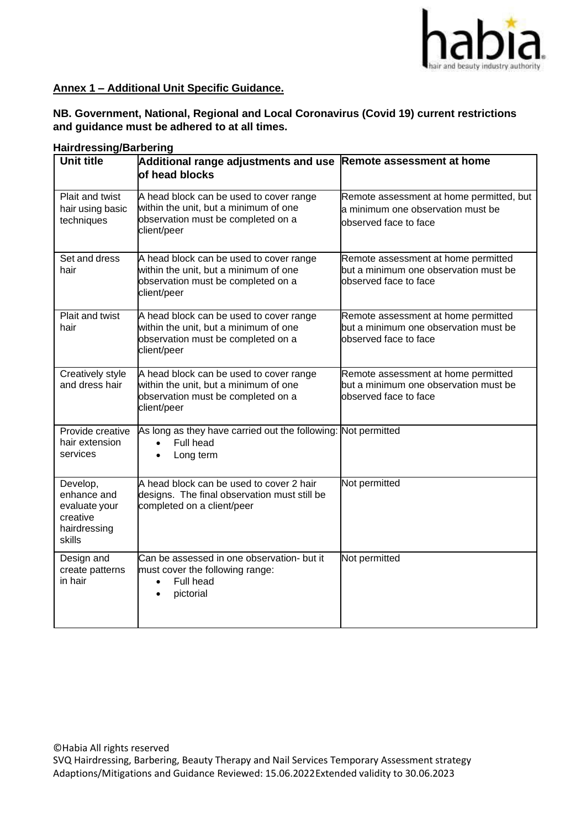

### **Annex 1 – Additional Unit Specific Guidance.**

**NB. Government, National, Regional and Local Coronavirus (Covid 19) current restrictions and guidance must be adhered to at all times.**

| Hairdressing/Barbering                                                         |                                                                                                                                       |                                                                                                        |  |
|--------------------------------------------------------------------------------|---------------------------------------------------------------------------------------------------------------------------------------|--------------------------------------------------------------------------------------------------------|--|
| <b>Unit title</b>                                                              | Additional range adjustments and use Remote assessment at home<br>of head blocks                                                      |                                                                                                        |  |
| Plait and twist<br>hair using basic<br>techniques                              | A head block can be used to cover range<br>within the unit, but a minimum of one<br>observation must be completed on a<br>client/peer | Remote assessment at home permitted, but<br>a minimum one observation must be<br>observed face to face |  |
| Set and dress<br>hair                                                          | A head block can be used to cover range<br>within the unit, but a minimum of one<br>observation must be completed on a<br>client/peer | Remote assessment at home permitted<br>but a minimum one observation must be<br>observed face to face  |  |
| Plait and twist<br>hair                                                        | A head block can be used to cover range<br>within the unit, but a minimum of one<br>observation must be completed on a<br>client/peer | Remote assessment at home permitted<br>but a minimum one observation must be<br>observed face to face  |  |
| Creatively style<br>and dress hair                                             | A head block can be used to cover range<br>within the unit, but a minimum of one<br>observation must be completed on a<br>client/peer | Remote assessment at home permitted<br>but a minimum one observation must be<br>observed face to face  |  |
| Provide creative<br>hair extension<br>services                                 | As long as they have carried out the following: Not permitted<br>Full head<br>Long term<br>$\bullet$                                  |                                                                                                        |  |
| Develop,<br>enhance and<br>evaluate your<br>creative<br>hairdressing<br>skills | A head block can be used to cover 2 hair<br>designs. The final observation must still be<br>completed on a client/peer                | Not permitted                                                                                          |  |
| Design and<br>create patterns<br>in hair                                       | Can be assessed in one observation- but it<br>must cover the following range:<br>Full head<br>$\bullet$<br>pictorial<br>$\bullet$     | Not permitted                                                                                          |  |